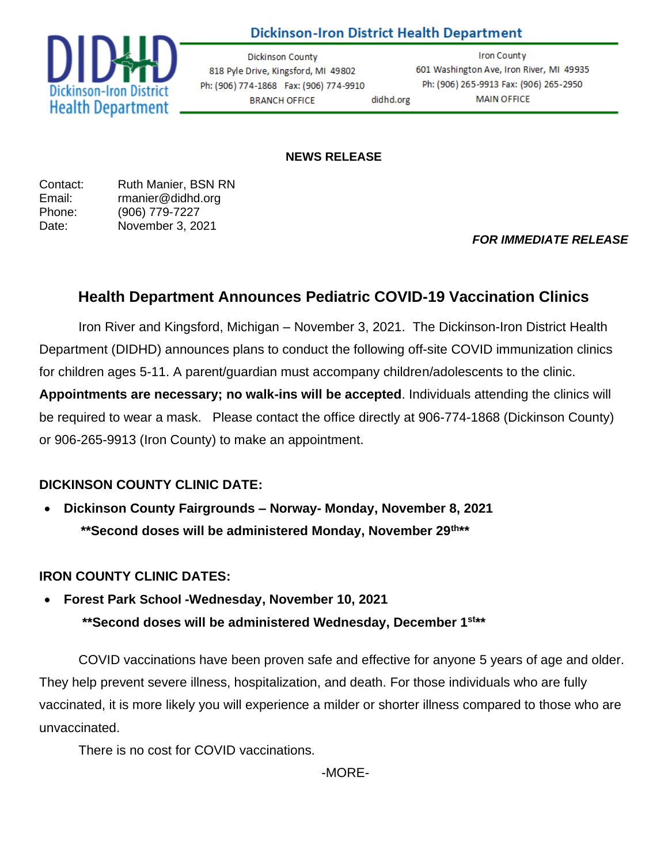# **Dickinson-Iron District Health Department**



**Dickinson County** 818 Pyle Drive, Kingsford, MI 49802 Ph: (906) 774-1868 Fax: (906) 774-9910 didhd.org **BRANCH OFFICE** 

**Iron County** 601 Washington Ave, Iron River, MI 49935 Ph: (906) 265-9913 Fax: (906) 265-2950 **MAIN OFFICE** 

#### **NEWS RELEASE**

| Contact: | Ruth Manier, BSN RN |
|----------|---------------------|
| Email:   | rmanier@didhd.org   |
| Phone:   | (906) 779-7227      |
| Date:    | November 3, 2021    |

### *FOR IMMEDIATE RELEASE*

# **Health Department Announces Pediatric COVID-19 Vaccination Clinics**

Iron River and Kingsford, Michigan – November 3, 2021. The Dickinson-Iron District Health Department (DIDHD) announces plans to conduct the following off-site COVID immunization clinics for children ages 5-11. A parent/guardian must accompany children/adolescents to the clinic.

**Appointments are necessary; no walk-ins will be accepted**. Individuals attending the clinics will be required to wear a mask. Please contact the office directly at 906-774-1868 (Dickinson County) or 906-265-9913 (Iron County) to make an appointment.

## **DICKINSON COUNTY CLINIC DATE:**

• **Dickinson County Fairgrounds – Norway- Monday, November 8, 2021 \*\*Second doses will be administered Monday, November 29th \*\***

### **IRON COUNTY CLINIC DATES:**

• **Forest Park School -Wednesday, November 10, 2021** 

 **\*\*Second doses will be administered Wednesday, December 1 st \*\***

COVID vaccinations have been proven safe and effective for anyone 5 years of age and older. They help prevent severe illness, hospitalization, and death. For those individuals who are fully vaccinated, it is more likely you will experience a milder or shorter illness compared to those who are unvaccinated.

There is no cost for COVID vaccinations.

-MORE-